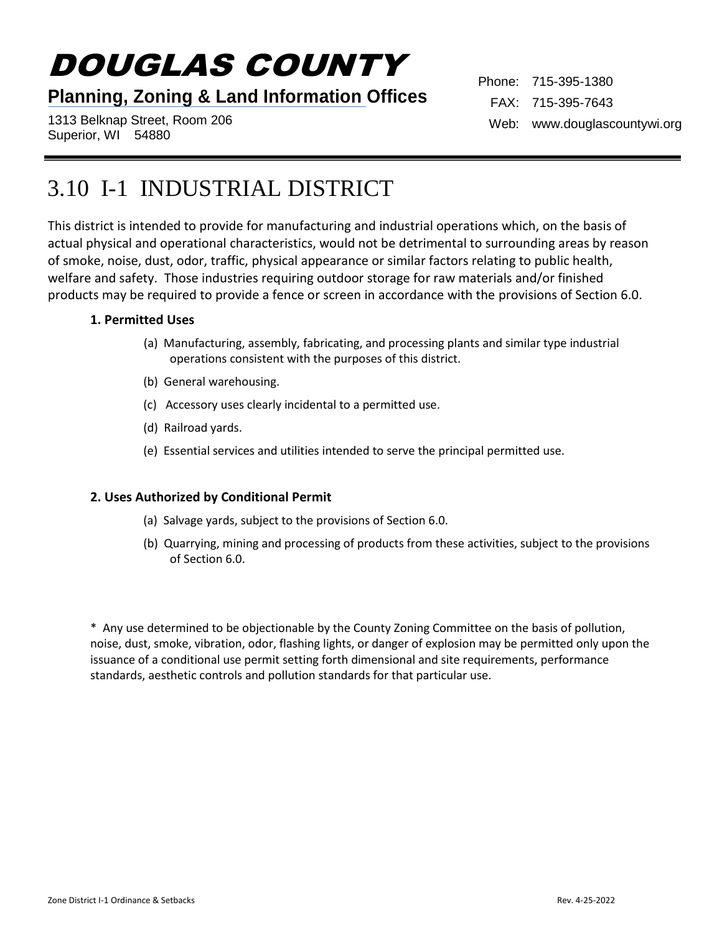# DOUGLAS COUNTY

### **Planning, Zoning & Land Information Offices**

1313 Belknap Street, Room 206 Superior, WI 54880

Phone: 715-395-1380 FAX: 715-395-7643 Web: www.douglascountywi.org

## 3.10 I-1 INDUSTRIAL DISTRICT

This district is intended to provide for manufacturing and industrial operations which, on the basis of actual physical and operational characteristics, would not be detrimental to surrounding areas by reason of smoke, noise, dust, odor, traffic, physical appearance or similar factors relating to public health, welfare and safety. Those industries requiring outdoor storage for raw materials and/or finished products may be required to provide a fence or screen in accordance with the provisions of Section 6.0.

#### **1. Permitted Uses**

- (a) Manufacturing, assembly, fabricating, and processing plants and similar type industrial operations consistent with the purposes of this district.
- (b) General warehousing.
- (c) Accessory uses clearly incidental to a permitted use.
- (d) Railroad yards.
- (e) Essential services and utilities intended to serve the principal permitted use.

#### **2. Uses Authorized by Conditional Permit**

- (a) Salvage yards, subject to the provisions of Section 6.0.
- (b) Quarrying, mining and processing of products from these activities, subject to the provisions of Section 6.0.

\* Any use determined to be objectionable by the County Zoning Committee on the basis of pollution, noise, dust, smoke, vibration, odor, flashing lights, or danger of explosion may be permitted only upon the issuance of a conditional use permit setting forth dimensional and site requirements, performance standards, aesthetic controls and pollution standards for that particular use.